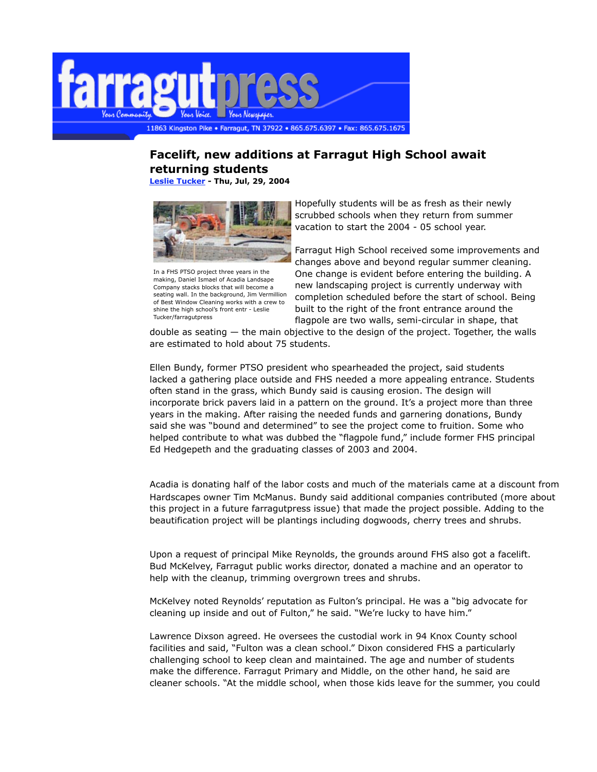

## **Facelift, new additions at Farragut High School await returning students**

**Leslie Tucker - Thu, Jul, 29, 2004**



In a FHS PTSO project three years in the making, Daniel Ismael of Acadia Landsape Company stacks blocks that will become a seating wall. In the background, Jim Vermillion of Best Window Cleaning works with a crew to shine the high school's front entr - Leslie Tucker/farragutpress

Hopefully students will be as fresh as their newly scrubbed schools when they return from summer vacation to start the 2004 - 05 school year.

Farragut High School received some improvements and changes above and beyond regular summer cleaning. One change is evident before entering the building. A new landscaping project is currently underway with completion scheduled before the start of school. Being built to the right of the front entrance around the flagpole are two walls, semi-circular in shape, that

double as seating — the main objective to the design of the project. Together, the walls are estimated to hold about 75 students.

Ellen Bundy, former PTSO president who spearheaded the project, said students lacked a gathering place outside and FHS needed a more appealing entrance. Students often stand in the grass, which Bundy said is causing erosion. The design will incorporate brick pavers laid in a pattern on the ground. It's a project more than three years in the making. After raising the needed funds and garnering donations, Bundy said she was "bound and determined" to see the project come to fruition. Some who helped contribute to what was dubbed the "flagpole fund," include former FHS principal Ed Hedgepeth and the graduating classes of 2003 and 2004.

Acadia is donating half of the labor costs and much of the materials came at a discount from Hardscapes owner Tim McManus. Bundy said additional companies contributed (more about this project in a future farragutpress issue) that made the project possible. Adding to the beautification project will be plantings including dogwoods, cherry trees and shrubs.

Upon a request of principal Mike Reynolds, the grounds around FHS also got a facelift. Bud McKelvey, Farragut public works director, donated a machine and an operator to help with the cleanup, trimming overgrown trees and shrubs.

McKelvey noted Reynolds' reputation as Fulton's principal. He was a "big advocate for cleaning up inside and out of Fulton," he said. "We're lucky to have him."

Lawrence Dixson agreed. He oversees the custodial work in 94 Knox County school facilities and said, "Fulton was a clean school." Dixon considered FHS a particularly challenging school to keep clean and maintained. The age and number of students make the difference. Farragut Primary and Middle, on the other hand, he said are cleaner schools. "At the middle school, when those kids leave for the summer, you could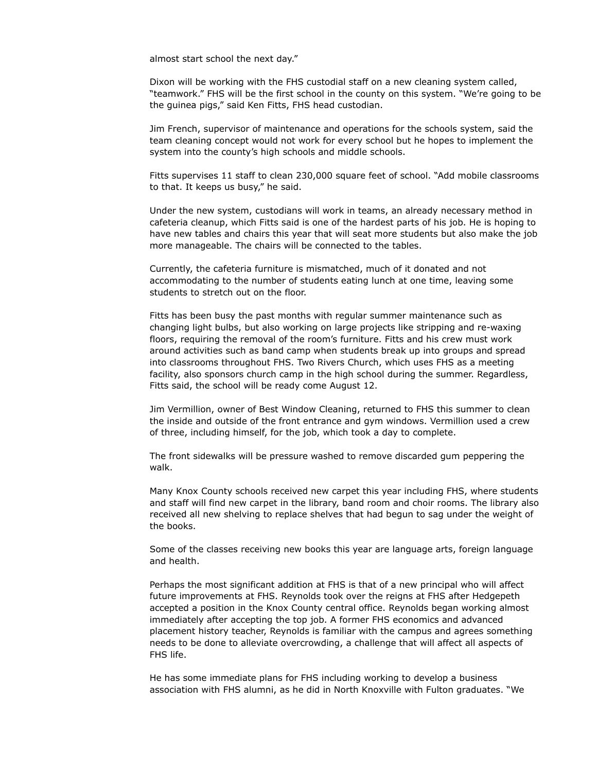almost start school the next day."

Dixon will be working with the FHS custodial staff on a new cleaning system called, "teamwork." FHS will be the first school in the county on this system. "We're going to be the guinea pigs," said Ken Fitts, FHS head custodian.

Jim French, supervisor of maintenance and operations for the schools system, said the team cleaning concept would not work for every school but he hopes to implement the system into the county's high schools and middle schools.

Fitts supervises 11 staff to clean 230,000 square feet of school. "Add mobile classrooms to that. It keeps us busy," he said.

Under the new system, custodians will work in teams, an already necessary method in cafeteria cleanup, which Fitts said is one of the hardest parts of his job. He is hoping to have new tables and chairs this year that will seat more students but also make the job more manageable. The chairs will be connected to the tables.

Currently, the cafeteria furniture is mismatched, much of it donated and not accommodating to the number of students eating lunch at one time, leaving some students to stretch out on the floor.

Fitts has been busy the past months with regular summer maintenance such as changing light bulbs, but also working on large projects like stripping and re-waxing floors, requiring the removal of the room's furniture. Fitts and his crew must work around activities such as band camp when students break up into groups and spread into classrooms throughout FHS. Two Rivers Church, which uses FHS as a meeting facility, also sponsors church camp in the high school during the summer. Regardless, Fitts said, the school will be ready come August 12.

Jim Vermillion, owner of Best Window Cleaning, returned to FHS this summer to clean the inside and outside of the front entrance and gym windows. Vermillion used a crew of three, including himself, for the job, which took a day to complete.

The front sidewalks will be pressure washed to remove discarded gum peppering the walk.

Many Knox County schools received new carpet this year including FHS, where students and staff will find new carpet in the library, band room and choir rooms. The library also received all new shelving to replace shelves that had begun to sag under the weight of the books.

Some of the classes receiving new books this year are language arts, foreign language and health.

Perhaps the most significant addition at FHS is that of a new principal who will affect future improvements at FHS. Reynolds took over the reigns at FHS after Hedgepeth accepted a position in the Knox County central office. Reynolds began working almost immediately after accepting the top job. A former FHS economics and advanced placement history teacher, Reynolds is familiar with the campus and agrees something needs to be done to alleviate overcrowding, a challenge that will affect all aspects of FHS life.

He has some immediate plans for FHS including working to develop a business association with FHS alumni, as he did in North Knoxville with Fulton graduates. "We